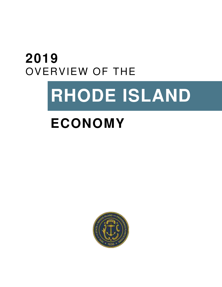## **2019**  OVERVIEW OF THE

# **RHODE ISLAND**

## **ECONOMY**

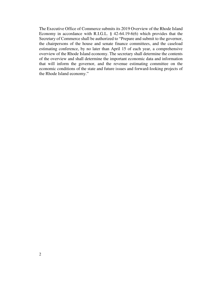The Executive Office of Commerce submits its 2019 Overview of the Rhode Island Economy in accordance with R.I.G.L. § 42-64.19-6(6) which provides that the Secretary of Commerce shall be authorized to "Prepare and submit to the governor, the chairpersons of the house and senate finance committees, and the caseload estimating conference, by no later than April 15 of each year, a comprehensive overview of the Rhode Island economy. The secretary shall determine the contents of the overview and shall determine the important economic data and information that will inform the governor, and the revenue estimating committee on the economic conditions of the state and future issues and forward-looking projects of the Rhode Island economy."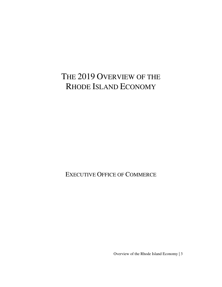## THE 2019 OVERVIEW OF THE RHODE ISLAND ECONOMY

EXECUTIVE OFFICE OF COMMERCE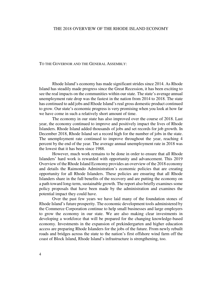#### THE 2018 OVERVIEW OF THE RHODE ISLAND ECONOMY

#### TO THE GOVERNOR AND THE GENERAL ASSEMBLY:

Rhode Island's economy has made significant strides since 2014. As Rhode Island has steadily made progress since the Great Recession, it has been exciting to see the real impacts on the communities within our state. The state's average annual unemployment rate drop was the fastest in the nation from 2014 to 2018. The state has continued to add jobs and Rhode Island's real gross domestic product continued to grow. Our state's economic progress is very promising when you look at how far we have come in such a relatively short amount of time.

 The economy in our state has also improved over the course of 2018. Last year, the economy continued to improve and positively impact the lives of Rhode Islanders. Rhode Island added thousands of jobs and set records for job growth. In December 2018, Rhode Island set a record high for the number of jobs in the state. The unemployment rate continued to improve throughout the year, reaching 4 percent by the end of the year. The average annual unemployment rate in 2018 was the lowest that it has been since 1988.

 However, much work remains to be done in order to ensure that all Rhode Islanders' hard work is rewarded with opportunity and advancement. This 2019 Overview of the Rhode Island Economy provides an overview of the 2018 economy and details the Raimondo Administration's economic policies that are creating opportunity for all Rhode Islanders. These policies are ensuring that all Rhode Islanders share in the full benefits of the recovery and are putting the economy on a path toward long-term, sustainable growth. The report also briefly examines some policy proposals that have been made by the administration and examines the potential impact they could have.

 Over the past few years we have laid many of the foundation stones of Rhode Island's future prosperity. The economic development tools administered by the Commerce Corporation continue to help small businesses and large employers to grow the economy in our state. We are also making clear investments in developing a workforce that will be prepared for the changing knowledge-based economy. Investments in the expansion of prekindergarten and higher education access are preparing Rhode Islanders for the jobs of the future. From newly rebuilt roads and bridges across the state to the nation's first offshore wind farm off the coast of Block Island, Rhode Island's infrastructure is strengthening, too.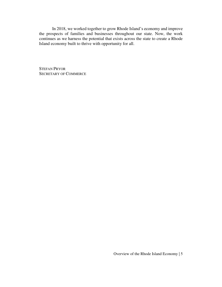In 2018, we worked together to grow Rhode Island's economy and improve the prospects of families and businesses throughout our state. Now, the work continues as we harness the potential that exists across the state to create a Rhode Island economy built to thrive with opportunity for all.

STEFAN PRYOR SECRETARY OF COMMERCE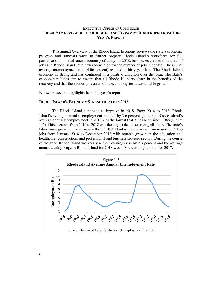#### EXECUTIVE OFFICE OF COMMERCE **THE 2019 OVERVIEW OF THE RHODE ISLAND ECONOMY: HIGHLIGHTS FROM THIS YEAR'S REPORT**

 This annual Overview of the Rhode Island Economy reviews the state's economic progress and suggests ways to further prepare Rhode Island's workforce for full participation in the advanced economy of today. In 2018, businesses created thousands of jobs and Rhode Island set a new record high for the number of jobs recorded. The annual average unemployment rate (4.06 percent) reached a thirty-year low. The Rhode Island economy is strong and has continued in a positive direction over the year. The state's economic policies aim to ensure that all Rhode Islanders share in the benefits of the recovery and that the economy is on a path toward long-term, sustainable growth.

Below are several highlights from this year's report.

#### **RHODE ISLAND'S ECONOMY STRENGTHENED IN 2018**

 The Rhode Island continued to improve in 2018. From 2014 to 2018, Rhode Island's average annual unemployment rate fell by 3.6 percentage points. Rhode Island's average annual unemployment in 2018 was the lowest that it has been since 1988 (Figure 1-2). This decrease from 2014 to 2018 was the largest decrease among all states. The state's labor force grew improved markedly in 2018. Nonfarm employment increased by 4,100 jobs from January 2018 to December 2018 with notable growth in the education and healthcare, construction, and professional and business services sectors. During the course of the year, Rhode Island workers saw their earnings rise by 2.3 percent and the average annual weekly wage in Rhode Island for 2018 was 4.0 percent higher than for 2017.

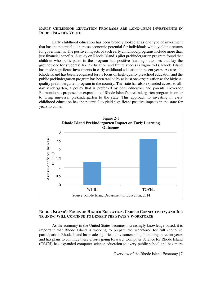#### **EARLY CHILDHOOD EDUCATION PROGRAMS ARE LONG-TERM INVESTMENTS IN RHODE ISLAND'S YOUTH**

 Early childhood education has been broadly looked at as one type of investment that has the potential to increase economic potential for individuals while yielding returns for governments. The positive impacts of such early childhood programs include more than just financial benefits. A study on Rhode Island's pilot prekindergarten program found that children who participated in the program had positive learning outcomes that lay the groundwork for students' K-12 education and future success (Figure 2-1). Rhode Island has made significant investments in early childhood education in recent years. As a result, Rhode Island has been recognized for its focus on high-quality preschool education and the public prekindergarten program has been ranked by at least one organization as the highestquality prekindergarten program in the country. The state has also expanded access to allday kindergarten, a policy that is preferred by both educators and parents. Governor Raimondo has proposed an expansion of Rhode Island's prekindergarten program in order to bring universal prekindergarten to the state. This approach to investing in early childhood education has the potential to yield significant positive impacts in the state for years to come.



#### **RHODE ISLAND'S FOCUS ON HIGHER EDUCATION, CAREER CONNECTIVITY, AND JOB TRAINING WILL CONTINUE TO BENEFIT THE STATE'S WORKFORCE**

 As the economy in the United States becomes increasingly knowledge-based, it is important that Rhode Island is working to prepare the workforce for full economic participation. Rhode Island has made significant investments in job training in recent years and has plans to continue these efforts going forward. Computer Science for Rhode Island (CS4RI) has expanded computer science education to every public school and has more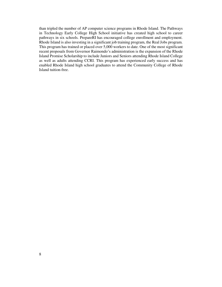than tripled the number of AP computer science programs in Rhode Island. The Pathways in Technology Early College High School initiative has created high school to career pathways in six schools. PrepareRI has encouraged college enrollment and employment. Rhode Island is also investing in a significant job training program, the Real Jobs program. This program has trained or placed over 5,000 workers to date. One of the most significant recent proposals from Governor Raimondo's administration is the expansion of the Rhode Island Promise Scholarship to include Juniors and Seniors attending Rhode Island College as well as adults attending CCRI. This program has experienced early success and has enabled Rhode Island high school graduates to attend the Community College of Rhode Island tuition-free.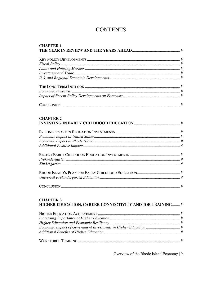## **CONTENTS**

| <b>CHAPTER 1</b> |  |
|------------------|--|
|                  |  |
|                  |  |
|                  |  |
|                  |  |
|                  |  |
|                  |  |
|                  |  |
|                  |  |
|                  |  |
|                  |  |
|                  |  |
| <b>CHAPTER 2</b> |  |
|                  |  |

#### **CHAPTER 3** HIGHER EDUCATION, CAREER CONNECTIVITY AND JOB TRAINING........ #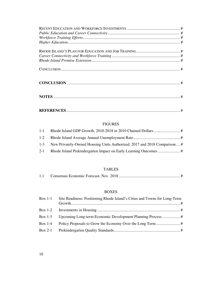| $\emph{Workforce Training Efforts} \emph{} \emph{} \emph{} \emph{} \emph{} \emph{} \emph{} \emph{} \emph{} \emph{} \emph{} \emph{} \emph{}$ |  |
|---------------------------------------------------------------------------------------------------------------------------------------------|--|
|                                                                                                                                             |  |
|                                                                                                                                             |  |
|                                                                                                                                             |  |
|                                                                                                                                             |  |
|                                                                                                                                             |  |
|                                                                                                                                             |  |
|                                                                                                                                             |  |
|                                                                                                                                             |  |
|                                                                                                                                             |  |
|                                                                                                                                             |  |
|                                                                                                                                             |  |
|                                                                                                                                             |  |
|                                                                                                                                             |  |
|                                                                                                                                             |  |
|                                                                                                                                             |  |
|                                                                                                                                             |  |

#### FIGURES

| $1 - 1$ |                                                                             |  |
|---------|-----------------------------------------------------------------------------|--|
|         |                                                                             |  |
|         | 1-3 New Privately-Owned Housing Units Authorized, 2017 and 2018 Comparison# |  |
|         |                                                                             |  |

#### TABLES

| 1.1 |  |  |
|-----|--|--|
|-----|--|--|

#### BOXES

| Box $1-1$ | Site Readiness: Positioning Rhode Island's Cities and Towns for Long-Term |  |
|-----------|---------------------------------------------------------------------------|--|
|           |                                                                           |  |
|           |                                                                           |  |
| Box $1-4$ |                                                                           |  |
|           |                                                                           |  |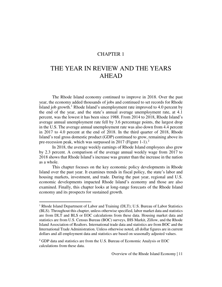#### CHAPTER 1

## THE YEAR IN REVIEW AND THE YEARS AHEAD

The Rhode Island economy continued to improve in 2018. Over the past year, the economy added thousands of jobs and continued to set records for Rhode Island job growth.<sup>1</sup> Rhode Island's unemployment rate improved to 4.0 percent by the end of the year, and the state's annual average unemployment rate, at 4.1 percent, was the lowest it has been since 1988. From 2014 to 2018, Rhode Island's average annual unemployment rate fell by 3.6 percentage points, the largest drop in the U.S. The average annual unemployment rate was also down from 4.4 percent in 2017 to 4.0 percent at the end of 2018. In the third quarter of 2018, Rhode Island's real gross domestic product (GDP) continued to grow, remaining above its pre-recession peak, which was surpassed in 2017 (Figure 1-1).<sup>2</sup>

In 2018, the average weekly earnings of Rhode Island employees also grew by 2.3 percent. A comparison of the average annual weekly wage from 2017 to 2018 shows that Rhode Island's increase was greater than the increase in the nation as a whole.

This chapter focuses on the key economic policy developments in Rhode Island over the past year. It examines trends in fiscal policy, the state's labor and housing markets, investment, and trade. During the past year, regional and U.S. economic developments impacted Rhode Island's economy and those are also examined. Finally, this chapter looks at long-range forecasts of the Rhode Island economy and its prospects for sustained growth.

 $\overline{a}$ 

<sup>&</sup>lt;sup>1</sup> Rhode Island Department of Labor and Training (DLT); U.S. Bureau of Labor Statistics (BLS). Throughout this chapter, unless otherwise specified, labor market data and statistics are from DLT and BLS or EOC calculations from these data. Housing market data and statistics are from U.S. Census Bureau (BOC) surveys, IHS Markit, Zillow, and the Rhode Island Association of Realtors. International trade data and statistics are from BOC and the International Trade Administration. Unless otherwise noted, all dollar figures are in current dollars and all employment data and statistics are based on seasonally adjusted values.

<sup>&</sup>lt;sup>2</sup> GDP data and statistics are from the U.S. Bureau of Economic Analysis or EOC calculations from these data.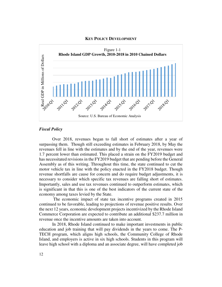#### **KEY POLICY DEVELOPMENT**



#### *Fiscal Policy*

Over 2018, revenues began to fall short of estimates after a year of surpassing them. Though still exceeding estimates in February 2018, by May the revenues fell in line with the estimates and by the end of the year, revenues were 1.7 percent lower than estimated. This placed a strain on the FY2019 budget and has necessitated revisions in the FY2019 budget that are pending before the General Assembly as of this writing. Throughout this time, the state continued to cut the motor vehicle tax in line with the policy enacted in the FY2018 budget. Though revenue shortfalls are cause for concern and do require budget adjustments, it is necessary to consider which specific tax revenues are falling short of estimates. Importantly, sales and use tax revenues continued to outperform estimates, which is significant in that this is one of the best indicators of the current state of the economy among taxes levied by the State.

 The economic impact of state tax incentive programs created in 2015 continued to be favorable, leading to projections of revenue positive results. Over the next 12 years, economic development projects incentivized by the Rhode Island Commerce Corporation are expected to contribute an additional \$237.7 million in revenue once the incentive amounts are taken into account.

In 2018, Rhode Island continued to make important investments in public education and job training that will pay dividends in the years to come. The P-TECH program, which aligns high schools, the Community College of Rhode Island, and employers is active in six high schools. Students in this program will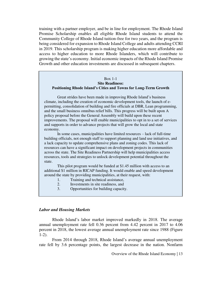training with a partner employer, and be in line for employment. The Rhode Island Promise Scholarship enables all eligible Rhode Island students to attend the Community College of Rhode Island tuition-free for two years, and the program is being considered for expansion to Rhode Island College and adults attending CCRI in 2019. This scholarship program is making higher education more affordable and access to higher education to more Rhode Islanders, which will contribute to growing the state's economy. Initial economic impacts of the Rhode Island Promise Growth and other education investments are discussed in subsequent chapters.

#### Box 1-1 **Site Readiness: Positioning Rhode Island's Cities and Towns for Long-Term Growth**

Great strides have been made in improving Rhode Island's business climate, including the creation of economic development tools, the launch of epermitting, consolidation of building and fire officials at DBR, Lean programming, and the small business omnibus relief bills. This progress will be built upon A policy proposal before the General Assembly will build upon these recent improvements. The proposal will enable municipalities to opt in to a set of services and supports in order to advance projects that will grow the local and state economy.

In some cases, municipalities have limited resources – lack of full-time building officials, not enough staff to support planning and land use initiatives, and a lack capacity to update comprehensive plans and zoning codes. This lack of resources can have a significant impact on development projects in communities across the state. The Site Readiness Partnership will help municipalities access resources, tools and strategies to unlock development potential throughout the state.

This pilot program would be funded at \$1.45 million with access to an additional \$1 million in RICAP funding. It would enable and speed development around the state by providing municipalities, at their request, with:

- 1. Training and technical assistance,
- 2. Investments in site readiness, and
- 3. Opportunities for building capacity.

#### *Labor and Housing Markets*

Rhode Island's labor market improved markedly in 2018. The average annual unemployment rate fell 0.36 percent from 4.42 percent in 2017 to 4.06 percent in 2018, the lowest average annual unemployment rate since 1988 (Figure 1-2).

From 2014 through 2018, Rhode Island's average annual unemployment rate fell by 3.6 percentage points, the largest decrease in the nation. Nonfarm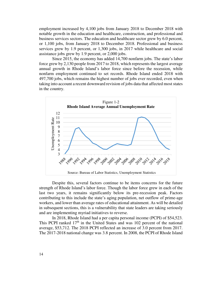employment increased by 4,100 jobs from January 2018 to December 2018 with notable growth in the education and healthcare, construction, and professional and business services sectors. The education and healthcare sector grew by 6.0 percent, or 1,100 jobs, from January 2018 to December 2018. Professional and business services grew by 1.9 percent, or 1,300 jobs, in 2017 while healthcare and social assistance jobs grew by 1.9 percent, or 2,000 jobs.

Since 2015, the economy has added 14,700 nonfarm jobs. The state's labor force grew by 2,130 people from 2017 to 2018, which represents the largest average annual growth in Rhode Island's labor force since before the recession, while nonfarm employment continued to set records. Rhode Island ended 2018 with 497,700 jobs, which remains the highest number of jobs ever recorded, even when taking into account a recent downward revision of jobs data that affected most states in the country.



Despite this, several factors continue to be items concerns for the future strength of Rhode Island's labor force. Though the labor force grew in each of the last two years, it remains significantly below its pre-recession peak. Factors contributing to this include the state's aging population, net outflow of prime-age workers, and lower than average rates of educational attainment. As will be detailed in subsequent sections, this is a vulnerability that state leaders are taking seriously and are implementing myriad initiatives to reverse.

In 2018, Rhode Island had a per capita personal income (PCPI) of \$54,523. This PCPI ranked  $17<sup>th</sup>$  in the United States and was 102 percent of the national average, \$53,712. The 2018 PCPI reflected an increase of 3.0 percent from 2017. The 2017-2018 national change was 3.8 percent. In 2008, the PCPI of Rhode Island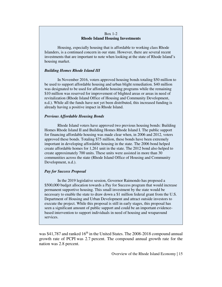#### Box 1-2 **Rhode Island Housing Investments**

 Housing, especially housing that is affordable to working class Rhode Islanders, is a continued concern in our state. However, there are several recent investments that are important to note when looking at the state of Rhode Island's housing market.

#### *Building Homes Rhode Island III*

 In November 2016, voters approved housing bonds totaling \$50 million to be used to support affordable housing and urban blight remediation. \$40 million was designated to be used for affordable housing programs while the remaining \$10 million was reserved for improvement of blighted areas or areas in need of revitalization (Rhode Island Office of Housing and Community Development, n.d.). While all the funds have not yet been distributed, this increased funding is already having a positive impact in Rhode Island.

#### *Previous Affordable Housing Bonds*

 Rhode Island voters have approved two previous housing bonds: Building Homes Rhode Island II and Building Homes Rhode Island I. The public support for financing affordable housing was made clear when, in 2006 and 2012, voters approved these bonds. Totaling \$75 million, these bonds have been extremely important in developing affordable housing in the state. The 2006 bond helped create affordable homes for 1,261 unit in the state. The 2012 bond also helped to create approximately 700 units. These units were assisted in more than 30 communities across the state (Rhode Island Office of Housing and Community Development, n.d.).

#### *Pay for Success Proposal*

 In the 2019 legislative session, Governor Raimondo has proposed a \$500,000 budget allocation towards a Pay for Success program that would increase permanent supportive housing. This small investment by the state would be necessary to enable the state to draw down a \$1 million federal grant from the U.S. Department of Housing and Urban Development and attract outside investors to execute the project. While this proposal is still in early stages, this proposal has seen a significant amount of public support and could be an important evidencebased intervention to support individuals in need of housing and wraparound services.

was  $$41,787$  and ranked  $16<sup>th</sup>$  in the United States. The 2008-2018 compound annual growth rate of PCPI was 2.7 percent. The compound annual growth rate for the nation was 2.8 percent.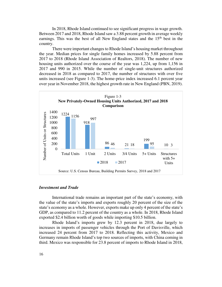In 2018, Rhode Island continued to see significant progress in wage growth. Between 2017 and 2018, Rhode Island saw a 3.88 percent growth in average weekly earnings. This was the best of all New England states and the  $15<sup>th</sup>$  best in the country.

There were important changes to Rhode Island's housing market throughout the year. Median prices for single family homes increased by 5.88 percent from 2017 to 2018 (Rhode Island Association of Realtors, 2018). The number of new housing units authorized over the course of the year was 1,224, up from 1,156 in 2017 and 990 in 2015. While the number of single-unit structures authorized decreased in 2018 as compared to 2017, the number of structures with over five units increased (see Figure 1-3). The home-price index increased 6.1 percent year over year in November 2018, the highest growth rate in New England (PBN, 2019).



#### *Investment and Trade*

International trade remains an important part of the state's economy, with the value of the state's imports and exports roughly 20 percent of the size of the state's economy as a whole. However, exports make up only 4 percent of the state's GDP, as compared to 11.2 percent of the country as a whole. In 2018, Rhode Island exported \$2.4 billion worth of goods while importing \$10.5 billion.

Rhode Island's imports grew by 12.3 percent in 2018, due largely to increases in imports of passenger vehicles through the Port of Davisville, which increased 24 percent from 2017 to 2018. Reflecting this activity, Mexico and Germany remain Rhode Island's top two sources of imports, with China coming in third. Mexico was responsible for 23.8 percent of imports to Rhode Island in 2018,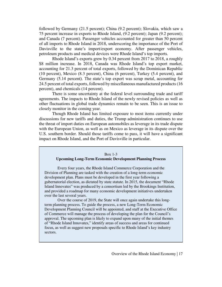followed by Germany (21.5 percent); China (9.2 percent); Slovakia, which saw a 75 percent increase in exports to Rhode Island, (9.2 percent); Japan (9.2 percent); and Canada (7 percent). Passenger vehicles accounted for greater than 50 percent of all imports to Rhode Island in 2018, underscoring the importance of the Port of Davisville to the state's import/export economy. After passenger vehicles, petroleum products and medical devices were Rhode Island's top imports.

Rhode Island's exports grew by 0.34 percent from 2017 to 2018, a roughly \$8 million increase. In 2018, Canada was Rhode Island's top export market, accounting for 21.3 percent of total exports, followed by the Dominican Republic (10 percent), Mexico (8.3 percent), China (6 percent), Turkey (5.4 percent), and Germany (5.14 percent). The state's top export was scrap metal, accounting for 24.5 percent of total exports, followed by miscellaneous manufactured products (16 percent), and chemicals (14 percent).

There is some uncertainty at the federal level surrounding trade and tariff agreements. The impacts to Rhode Island of the newly revised policies as well as other fluctuations in global trade dynamics remain to be seen. This is an issue to closely monitor in the coming year.

Though Rhode Island has limited exposure to most items currently under discussions for new tariffs and duties, the Trump administration continues to use the threat of import duties on European automobiles as leverage in its trade dispute with the European Union, as well as on Mexico as leverage in its dispute over the U.S. southern border. Should those tariffs come to pass, it will have a significant impact on Rhode Island, and the Port of Davisville in particular.

#### Box 1-3

#### **Upcoming Long-Term Economic Development Planning Process**

Every four years, the Rhode Island Commerce Corporation and the Division of Planning are tasked with the creation of a long-term economic development plan. Plans must be developed in the first year following a gubernatorial election, as dictated by state statute. In 2015, the document "Rhode Island Innovates" was produced by a consortium led by the Brookings Institution, and provided a roadmap for many economic development initiatives undertaken over the last several years.

 Over the course of 2019, the State will once again undertake this longterm planning process. To guide the process, a new Long-Term Economic Development Planning Council will be appointed, and staff at the Executive Office of Commerce will manage the process of developing the plan for the Council's approval. The upcoming plan is likely to expand upon many of the initial themes of "Rhode Island Innovates," identify areas of success and areas for continued focus, as well as suggest new proposals specific to Rhode Island's key industry sectors.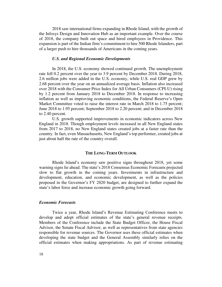2018 saw international firms expanding in Rhode Island, with the growth of the Infosys Design and Innovation Hub as an important example. Over the course of 2018, the company built out space and hired employees in Providence. This expansion is part of the Indian firm's commitment to hire 500 Rhode Islanders, part of a larger push to hire thousands of Americans in the coming years.

#### *U.S. and Regional Economic Developments*

In 2018, the U.S. economy showed continued growth. The unemployment rate fell 0.2 percent over the year to 3.9 percent by December 2018. During 2018, 2.6 million jobs were added in the U.S. economy, while U.S. real GDP grew by 2.68 percent over the year on an annualized average basis. Inflation also increased over 2018 with the Consumer Price Index for All Urban Consumers (CPI-U) rising by 1.2 percent from January 2018 to December 2018. In response to increasing inflation as well as improving economic conditions, the Federal Reserve's Open Market Committee voted to raise the interest rate in March 2018 to 1.75 percent; June 2018 to 1.95 percent; September 2018 to 2.20 percent; and in December 2018 to 2.40 percent.

U.S. growth supported improvements in economic indicators across New England in 2018. Though employment levels increased in all New England states from 2017 to 2018, no New England states created jobs at a faster rate than the country. In fact, even Massachusetts, New England's top performer, created jobs at just about half the rate of the country overall.

#### **THE LONG-TERM OUTLOOK**

Rhode Island's economy saw positive signs throughout 2018, yet some warning signs lie ahead. The state's 2018 Consensus Economic Forecasts projected slow to flat growth in the coming years. Investments in infrastructure and development, education, and economic development, as well as the policies proposed in the Governor's FY 2020 budget, are designed to further expand the state's labor force and increase economic growth going forward.

#### *Economic Forecasts*

Twice a year, Rhode Island's Revenue Estimating Conference meets to develop and adopt official estimates of the state's general revenue receipts. Members of the Conference include the State Budget Officer, the House Fiscal Advisor, the Senate Fiscal Advisor, as well as representatives from state agencies responsible for revenue sources. The Governor uses these official estimates when developing the state budget and the General Assembly similarly relies on the official estimates when making appropriations. As part of revenue estimating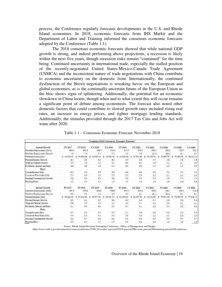process, the Conference regularly forecasts developments in the U.S. and Rhode Island economies. In 2018, economic forecasts from IHS Markit and the Department of Labor and Training informed the consensus economic forecasts adopted by the Conference (Table 1.1).

The 2018 consensus economic forecasts showed that while national GDP growth is strong, and indeed performing above projections, a recession is likely within the next five years, though recession risks remain "contained" for the time being. Continued uncertainty in international trade, especially the stalled position of the recently-negotiated United States-Mexico-Canada Trade Agreement (USMCA) and the inconsistent nature of trade negotiations with China contribute to economic uncertainty on the domestic front. Internationally, the continued dysfunction of the Brexit negotiations is wreaking havoc on the European and global economies, as is the continually uncertain future of the European Union as the bloc shows signs of splintering. Additionally, the potential for an economic slowdown in China looms, though when and to what extent this will occur remains a significant point of debate among economists. The forecast also noted other domestic factors that could contribute to slowed growth rates included rising real rates, an increase in energy prices, and tighter mortgage lending standards. Additionally, the stimulus provided through the 2017 Tax Cuts and Jobs Act will wane after 2020.

| November 2018 Canssment Economic Barocast |                    |           |                |              |           |             |               |                  |                |                 |
|-------------------------------------------|--------------------|-----------|----------------|--------------|-----------|-------------|---------------|------------------|----------------|-----------------|
| Annual Crewth                             | CV <sub>2017</sub> | CY 2018   | CY 2019        | CY 2024      | CY 2822   | CY 2122     | CY 2023       | 4.3.204          | <b>CY 2025</b> | 63'2026         |
| Nordam Hopkeyman: (DDDs)                  | 434.4              | 501.4     | 506.7          | 31D.2        | 1107      | <b>111E</b> | 519.7         | 510.2            | 510.7          | 511.3           |
| Nonfara Explasment Growth                 | û                  | IJ        | 1.1            | 62           |           | $40 - 10$   | 63.35         | (0.05)           | ü1             | 0.1             |
| Personal fracers (rtd.)                   | 5 14:574.62        | 56.956.48 | 59.615         | 42.294.46    | 64,953.66 | 67,531.00   | 70.505.66     | 72.997.75        | 75,705.79      | 78,535.14       |
| Personal Incorne Growth                   | 41                 | 45        | 4.3            | 43           | 3.9       | 38          | 3.7           | 3.8              | 次期             | 38              |
| Wage as 5 Salaries Traones                | 35                 | 33        | 4.4            | 4.4          | 11        | 41          | 9.9           | 46               | 4.1            | 48              |
| Dovidence, Internet and Rent              | 46                 | 42        | 50             | 2.5          | 42.       | 4.0         | $3.7^{\circ}$ | $3.3 -$          | 34             | 23              |
| <b>Bates</b>                              |                    |           |                |              |           |             |               |                  |                |                 |
| Unemployment Bain                         | 48.                | $-12$     | 13             | 4.0.         | 42        | 48          | AB            | 送着               | 85             | 33              |
| Cassane: Prize Index (US)                 | 21                 | 2.6       | 駢              | 25           | 23        | $^{23}$     | 22            | 21               | 尘生             | 21              |
| Personal Centurgenes Growth               | 3.2                | 43        | 4.5            | 42           | 3.9       | 37          | 33            | 33               | 1.7            | 23              |
| Housing Statts                            | Lä                 | 1.3       | 13             | 13           | IJ        | L4          | L4            | 1.4              | 1.4            | 1.4             |
| <b>Ancesol</b> Grawth                     | FY 2017            | FY 2918   | FY 2019        | FY 3030      | FY 2021   | BY 2022     | FY 2023       | FY 2824          | FY2025         | FV 2026         |
| Nonciarm Employment (000x).               | $-291.4$           | 497.8     | 104.6          | 315.9        | 510.9     | 510.5       | \$10.8        | \$10.1           | 110.1          | 4114            |
| Nonfarn Employment Growth                 | 0.6                | 13        | 14             | 3.0          | 改文        | 0.3         | (0.1)         | (0,1)            | ül             | 0.1             |
| Petronal Income (mil)                     | 5 14,664.43        | 57,124.52 | s<br>59.171.55 | 61, 221, 34. | 64,455.94 | 66.957.39   | 55.436.83     | 12.051.98        | 74 789 70      | 22.646.14<br>s. |
| Perconal Internet Growth                  | 25                 | 45        | 19             | 44           | 40        | 3.5         | 33            | 3.3 <sub>1</sub> | 1.8            | 3.5             |
| Waas and Salaries Income-                 | 28                 | 3.5       | 4.0            | 14           | 42.       | 43          | 4, 0          | 33               | 4.1            | 43              |
| Dividenda, Interest and Rent.             | \$1.               | 4.5       | $4.0^{+1}$     | 5.9          | 433       | 42          | 2.9           | 3.4              | 1.2.           | 29              |
| Rates                                     |                    |           |                |              |           |             |               |                  |                |                 |
| Unemployment Base                         | ¥Υ                 | 2.5       | 19             | 35           | 41        | 44          | 4.8           | 50               | 80             | 80              |
| Consumer Price Tecles (US)                | 19.                | 20        | 16             | 24           | 24        | 24          | 22            | $-3.1$           | 3.0            | 20              |
| Petronal Consumption Growth               | 3.0                | 12        | 4.8            | 43           | 42        | 3.5         | 3.4.          | 15               | 13             | 15              |
| Heasing Statts                            | 12                 | 13        | 13             | Đ            | 1.3       | ī.4         | L4            | i A              | 14             | 1A              |

Table 1-1 – Consensus Economic Forecast, November 2018

Source: Rhode Island Revenue Estimating Conference, Office of Management and Budget

(http://www.omb.ri.gov/documents/revenues/conference/5300\_November percent202018 percent20Revenue percent20Estimating percent20Conference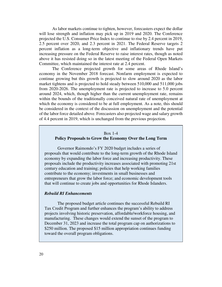As labor markets continue to tighten, however, forecasters expect the dollar will lose strength and inflation may pick up in 2019 and 2020. The Conference projected the U.S. Consumer Price Index to continue to rise by 2.4 percent in 2019, 2.5 percent over 2020, and 2.3 percent in 2021. The Federal Reserve targets 2 percent inflation as a long-term objective and inflationary trends have put increasing pressure on the Federal Reserve to raise interest rates, though as noted above it has resisted doing so in the latest meeting of the Federal Open Markets Committee, which maintained the interest rate at 2.4 percent.

The Conference projected growth for some areas of Rhode Island's economy in the November 2018 forecast. Nonfarm employment is expected to continue growing but this growth is projected to slow around 2020 as the labor market tightens and is projected to hold steady between 510,000 and 511,000 jobs from 2020-2026. The unemployment rate is projected to increase to 5.0 percent around 2024, which, though higher than the current unemployment rate, remains within the bounds of the traditionally conceived natural rate of unemployment at which the economy is considered to be at full employment. As a note, this should be considered in the context of the discussion on unemployment and the potential of the labor force detailed above. Forecasters also projected wage and salary growth of 4.4 percent in 2019, which is unchanged from the previous projection.

#### Box 1-4 **Policy Proposals to Grow the Economy Over the Long Term**

Governor Raimondo's FY 2020 budget includes a series of proposals that would contribute to the long-term growth of the Rhode Island economy by expanding the labor force and increasing productivity. These proposals include the productivity increases associated with promoting 21st century education and training; policies that help working families contribute to the economy; investments in small businesses and entrepreneurs that grow the labor force; and economic development tools that will continue to create jobs and opportunities for Rhode Islanders.

#### *Rebuild RI Enhancements*

The proposed budget article continues the successful Rebuild RI Tax Credit Program and further enhances the program's ability to address projects involving historic preservation, affordable/workforce housing, and manufacturing. These changes would extend the sunset of the program to December 31, 2023 and increase the total program cap on authorizations to \$250 million. The proposed \$15 million appropriation continues funding toward the overall program obligations.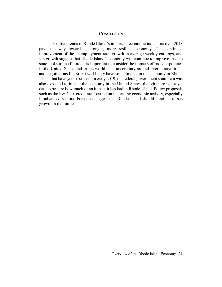#### **CONCLUSION**

Positive trends in Rhode Island's important economic indicators over 2018 pave the way toward a stronger, more resilient economy. The continued improvement of the unemployment rate, growth in average weekly earnings, and job growth suggest that Rhode Island's economy will continue to improve. As the state looks to the future, it is important to consider the impacts of broader policies in the United States and in the world. The uncertainty around international trade and negotiations for Brexit will likely have some impact in the economy in Rhode Island that have yet to be seen. In early 2019, the federal government shutdown was also expected to impact the economy in the United States, though there is not yet data to be sure how much of an impact it has had in Rhode Island. Policy proposals such as the R&D tax credit are focused on increasing economic activity, especially in advanced sectors. Forecasts suggest that Rhode Island should continue to see growth in the future.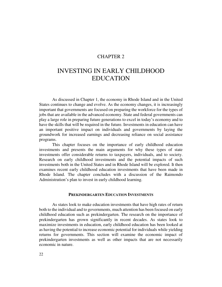#### CHAPTER 2

## INVESTING IN EARLY CHILDHOOD EDUCATION

 As discussed in Chapter 1, the economy in Rhode Island and in the United States continues to change and evolve. As the economy changes, it is increasingly important that governments are focused on preparing the workforce for the types of jobs that are available in the advanced economy. State and federal governments can play a large role in preparing future generations to excel in today's economy and to have the skills that will be required in the future. Investments in education can have an important positive impact on individuals and governments by laying the groundwork for increased earnings and decreasing reliance on social assistance programs.

This chapter focuses on the importance of early childhood education investments and presents the main arguments for why these types of state investments offer considerable returns to taxpayers, individuals, and to society. Research on early childhood investments and the potential impacts of such investments both in the United States and in Rhode Island will be explored. It then examines recent early childhood education investments that have been made in Rhode Island. The chapter concludes with a discussion of the Raimondo Administration's plan to invest in early childhood learning.

#### **PREKINDERGARTEN EDUCATION INVESTMENTS**

 As states look to make education investments that have high rates of return both to the individual and to governments, much attention has been focused on early childhood education such as prekindergarten. The research on the importance of prekindergarten has grown significantly in recent decades. As states look to maximize investments in education, early childhood education has been looked at as having the potential to increase economic potential for individuals while yielding returns for governments. This section will examine the economic impact of prekindergarten investments as well as other impacts that are not necessarily economic in nature.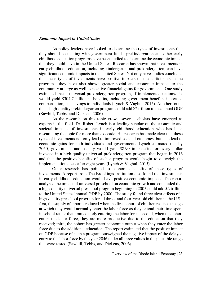#### *Economic Impact in United States*

As policy leaders have looked to determine the types of investments that they should be making with government funds, prekindergarten and other early childhood education programs have been studied to determine the economic impact that they could have in the United States. Research has shown that investments in early childhood education, including kindergarten and prekindergarten, can have significant economic impacts in the United States. Not only have studies concluded that these types of investments have positive impacts on the participants in the programs, they have also shown greater social and economic impacts to the community at large as well as positive financial gains for governments. One study estimated that a universal prekindergarten program, if implemented nationwide, would yield \$304.7 billion in benefits, including government benefits, increased compensation, and savings to individuals (Lynch & Vaghul, 2015). Another found that a high-quality prekindergarten program could add \$2 trillion to the annual GDP (Sawhill, Tebbs, and Dickens, 2006).

As the research on this topic grows, several scholars have emerged as experts in the field. Dr. Robert Lynch is a leading scholar on the economic and societal impacts of investments in early childhood education who has been researching the topic for more than a decade. His research has made clear that these types of investments not only lead to improved societal outcomes, but also lead to economic gains for both individuals and governments. Lynch estimated that by 2050, government and society would gain \$8.90 in benefits for every dollar invested in a high-quality universal prekindergarten program that began in 2016 and that the positive benefits of such a program would begin to outweigh the implementation costs after eight years (Lynch & Vaghul, 2015).

Other research has pointed to economic benefits of these types of investments. A report from The Brookings Institution also found that investments in early childhood education would have positive economic impacts. The report analyzed the impact of universal preschool on economic growth and concluded that a high-quality universal preschool program beginning in 2005 could add \$2 trillion to the United States' annual GDP by 2080. The study found three clear effects of a high-quality preschool program for all three- and four-year-old children in the U.S.: first, the supply of labor is reduced when the first cohort of children reaches the age at which they would normally enter the labor force as they extend their time spent in school rather than immediately entering the labor force; second, when the cohort enters the labor force, they are more productive due to the education that they received; third, the cohort has greater economic output when they enter the labor force due to the additional education. The report estimated that the positive impact on GDP because of such a program outweighed the negative impact of the delayed entry to the labor force by the year 2046 under all three values in the plausible range that were tested (Sawhill, Tebbs, and Dickens, 2006).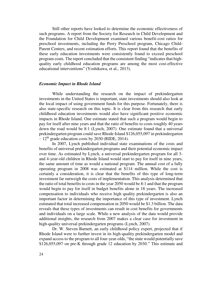Still other reports have looked to determine the economic effectiveness of such programs. A report from the Society for Research in Child Development and the Foundation for Child Development examined various benefit-cost ratios for preschool investments, including the Perry Preschool program, Chicago Child-Parent Centers, and recent estimation efforts. This report found that the benefits of these early education investments were consistently found to exceed preschool program costs. The report concluded that the consistent finding "indicates that highquality early childhood education programs are among the most cost-effective educational interventions" (Yoshikawa, et al., 2013).

#### *Economic Impact in Rhode Island*

 While understanding the research on the impact of prekindergarten investments in the United States is important, state investments should also look at the local impact of using government funds for this purpose. Fortunately, there is also state-specific research on this topic. It is clear from this research that early childhood education investments would also have significant positive economic impacts in Rhode Island. One estimate stated that such a program would begin to pay for itself after nine years and that the ratio of benefits to costs roughly 40 years down the road would be 8:1 (Lynch, 2007). One estimate found that a universal prekindergarten program could save Rhode Island \$126,055,097 in prekindergarten  $-12^{th}$  grade education costs by 2030 (RIDE, 2014).

In 2007, Lynch published individual state examinations of the costs and benefits of universal prekindergarten programs and their potential economic impact over time. As estimated by Lynch, a universal prekindergarten program for all 3 and 4-year-old children in Rhode Island would start to pay for itself in nine years, the same amount of time as would a national program. The annual cost of a fully operating program in 2008 was estimated at \$114 million. While the cost is certainly a consideration, it is clear that the benefits of this type of long-term investment far outweigh the costs of implementation. This analysis determined that the ratio of total benefits to costs in the year 2050 would be 8:1 and that the program would begin to pay for itself in budget benefits alone in 18 years. The increased compensation to individuals who receive high quality prekindergarten is also an important factor in determining the importance of this type of investment. Lynch estimated that total increased compensation in 2050 would be \$1.3 billion. The data reveals that these types of investments can result in cost benefits for governments and individuals on a large scale. While a new analysis of the data would provide additional insights, the research from 2007 makes a clear case for investment in high-quality universal prekindergarten programs (Lynch, 2007).

 Dr. W. Steven Barnett, an early childhood policy expert, projected that if Rhode Island were to further invest in its high-quality prekindergarten model and expand access to the program to all four-year-olds, "the state would potentially save \$126,055,097 on pre-K through grade 12 education by 2030." This estimate and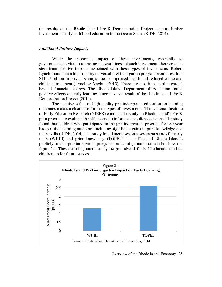the results of the Rhode Island Pre-K Demonstration Project support further investment in early childhood education in the Ocean State. (RIDE, 2014).

#### *Additional Positive Impacts*

 While the economic impact of these investments, especially to governments, is vital to assessing the worthiness of such investment, there are also significant positive impacts associated with these types of investments. Robert Lynch found that a high-quality universal prekindergarten program would result in \$114.7 billion in private savings due to improved health and reduced crime and child maltreatment (Lynch & Vaghul, 2015). There are also impacts that extend beyond financial savings. The Rhode Island Department of Education found positive effects on early learning outcomes as a result of the Rhode Island Pre-K Demonstration Project (2014).

 The positive effect of high-quality prekindergarten education on learning outcomes makes a clear case for these types of investments. The National Institute of Early Education Research (NIEER) conducted a study on Rhode Island's Pre-K pilot program to evaluate the effects and to inform state policy decisions. The study found that children who participated in the prekindergarten program for one year had positive learning outcomes including significant gains in print knowledge and math skills (RIDE, 2014). The study found increases on assessment scores for early math (WJ-III) and print knowledge (TOPEL). The effects of Rhode Island's publicly funded prekindergarten programs on learning outcomes can be shown in figure 2-1. These learning outcomes lay the groundwork for K-12 education and set children up for future success.

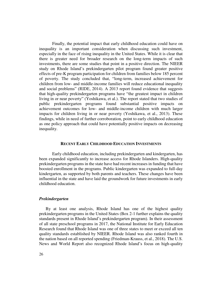Finally, the potential impact that early childhood education could have on inequality is an important consideration when discussing such investment, especially in the face of rising inequality in the United States. While it is clear that there is greater need for broader research on the long-term impacts of such investments, there are some studies that point in a positive direction. The NIEER study on Rhode Island's prekindergarten pilot program found greater positive effects of pre-K program participation for children from families below 185 percent of poverty. The study concluded that, "long-term, increased achievement for children from low- and middle-income families will reduce educational inequality and social problems" (RIDE, 2014). A 2013 report found evidence that suggests that high-quality prekindergarten programs have "the greatest impact in children living in or near poverty" (Yoshikawa, et al.). The report stated that two studies of public prekindergarten programs found substantial positive impacts on achievement outcomes for low- and middle-income children with much larger impacts for children living in or near poverty (Yoshikawa, et al., 2013). These findings, while in need of further corroboration, point to early childhood education as one policy approach that could have potentially positive impacts on decreasing inequality.

#### **RECENT EARLY CHILDHOOD EDUCATION INVESTMENTS**

 Early childhood education, including prekindergarten and kindergarten, has been expanded significantly to increase access for Rhode Islanders. High-quality prekindergarten programs in the state have had recent increases in funding that have boosted enrollment in the programs. Public kindergarten was expanded to full-day kindergarten, as supported by both parents and teachers. These changes have been influential in the state and have laid the groundwork for future investments in early childhood education.

#### *Prekindergarten*

By at least one analysis, Rhode Island has one of the highest quality prekindergarten programs in the United States (Box 2-1 further explains the quality standards present in Rhode Island's prekindergarten program). In their assessment of all state preschool programs in 2017, the National Institute for Early Education Research found that Rhode Island was one of three states to meet or exceed all ten quality standards established by NIEER. Rhode Island was also ranked fourth in the nation based on all reported spending (Friedman-Krauss, et al., 2018). The U.S. News and World Report also recognized Rhode Island's focus on high-quality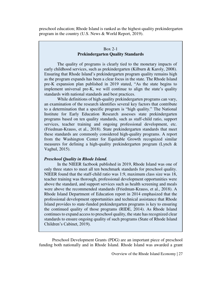preschool education; Rhode Island is ranked as the highest-quality prekindergarten program in the country (U.S. News & World Report, 2019).

#### Box 2-1 **Prekindergarten Quality Standards**

 The quality of programs is clearly tied to the monetary impacts of early childhood services, such as prekindergarten (Kilburn & Karoly, 2008). Ensuring that Rhode Island's prekindergarten program quality remains high as the program expands has been a clear focus in the state. The Rhode Island pre-K expansion plan published in 2019 stated, "As the state begins to implement universal pre-K, we will continue to align the state's quality standards with national standards and best practices.

 While definitions of high-quality prekindergarten programs can vary, an examination of the research identifies several key factors that contribute to a determination that a specific program is "high quality." The National Institute for Early Education Research assesses state prekindergarten programs based on ten quality standards, such as staff-child ratio, support services, teacher training and ongoing professional development, etc. (Friedman-Krauss, et al., 2018). State prekindergarten standards that meet these standards are commonly considered high-quality programs. A report from the Washington Center for Equitable Growth recognized similar measures for defining a high-quality prekindergarten program (Lynch & Vaghul, 2015).

#### *Preschool Quality in Rhode Island.*

In the NIEER factbook published in 2019, Rhode Island was one of only three states to meet all ten benchmark standards for preschool quality. NIEER found that the staff-child ratio was 1:9, maximum class size was 18, teacher training was thorough, professional development opportunities were above the standard, and support services such as health screening and meals were above the recommended standards (Friedman-Krauss, et al., 2018). A Rhode Island Department of Education report in 2014 emphasized that the professional development opportunities and technical assistance that Rhode Island provides to state-funded prekindergarten programs is key to ensuring the continued quality of those programs (RIDE, 2014). As Rhode Island continues to expand access to preschool quality, the state has recognized clear standards to ensure ongoing quality of such programs (State of Rhode Island Children's Cabinet, 2019).

 Preschool Development Grants (PDG) are an important piece of preschool funding both nationally and in Rhode Island. Rhode Island was awarded a grant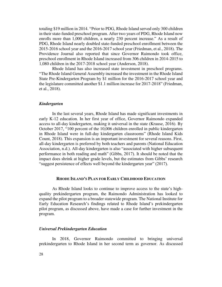totaling \$19 million in 2014. "Prior to PDG, Rhode Island served only 300 children in their state-funded preschool program. After two years of PDG, Rhode Island now enrolls more than 1,000 children, a nearly 230 percent increase." As a result of PDG, Rhode Island nearly doubled state-funded preschool enrollment between the 2015-2016 school year and the 2016-2017 school year (Friedman, et al., 2018). The Providence Journal also reported that since Governor Raimondo took office, preschool enrollment in Rhode Island increased from 306 children in 2014-2015 to 1,080 children in the 2017-2018 school year (Anderson, 2018).

 Rhode Island has also increased state investment in preschool programs. "The Rhode Island General Assembly increased the investment in the Rhode Island State Pre-Kindergarten Program by \$1 million for the 2016-2017 school year and the legislature committed another \$1.1 million increase for 2017-2018" (Friedman, et al., 2018).

#### *Kindergarten*

 In the last several years, Rhode Island has made significant investments in early K-12 education. In her first year of office, Governor Raimondo expanded access to all-day kindergarten, making it universal in the state (Krause, 2016). By October 2017, "100 percent of the 10,006 children enrolled in public kindergarten in Rhode Island were in full-day kindergarten classrooms" (Rhode Island Kids Count, 2018). This expansion is an important investment for several reasons. First, all-day kindergarten is preferred by both teachers and parents (National Education Association, n.d.). All-day kindergarten is also "associated with higher subsequent performance in both reading and math" (Gibbs, 2017). It should be noted that the impact does shrink at higher grade levels, but the estimates from Gibbs' research "suggest persistence of effects well beyond the kindergarten year" (2017).

#### **RHODE ISLAND'S PLAN FOR EARLY CHILDHOOD EDUCATION**

 As Rhode Island looks to continue to improve access to the state's highquality prekindergarten program, the Raimondo Administration has looked to expand the pilot program to a broader statewide program. The National Institute for Early Education Research's findings related to Rhode Island's prekindergarten pilot program, as discussed above, have made a case for further investment in the program.

#### *Universal Prekindergarten Education*

In 2018, Governor Raimondo committed to bringing universal prekindergarten to Rhode Island in her second term as governor. As discussed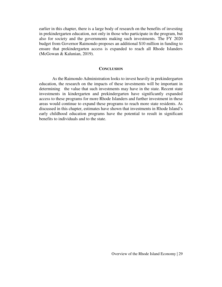earlier in this chapter, there is a large body of research on the benefits of investing in prekindergarten education, not only in those who participate in the program, but also for society and the governments making such investments. The FY 2020 budget from Governor Raimondo proposes an additional \$10 million in funding to ensure that prekindergarten access is expanded to reach all Rhode Islanders (McGowan & Kalunian, 2019).

#### **CONCLUSION**

 As the Raimondo Administration looks to invest heavily in prekindergarten education, the research on the impacts of these investments will be important in determining the value that such investments may have in the state. Recent state investments in kindergarten and prekindergarten have significantly expanded access to these programs for more Rhode Islanders and further investment in these areas would continue to expand these programs to reach more state residents. As discussed in this chapter, estimates have shown that investments in Rhode Island's early childhood education programs have the potential to result in significant benefits to individuals and to the state.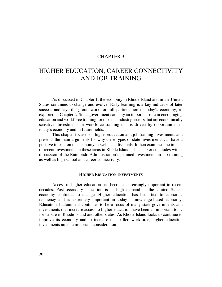#### CHAPTER 3

## HIGHER EDUCATION, CAREER CONNECTIVITY AND JOB TRAINING

 As discussed in Chapter 1, the economy in Rhode Island and in the United States continues to change and evolve. Early learning is a key indicator of later success and lays the groundwork for full participation in today's economy, as explored in Chapter 2. State government can play an important role in encouraging education and workforce training for those in industry sectors that are economically sensitive. Investments in workforce training that is driven by opportunities in today's economy and in future fields.

This chapter focuses on higher education and job training investments and presents the main arguments for why these types of state investments can have a positive impact on the economy as well as individuals. It then examines the impact of recent investments in these areas in Rhode Island. The chapter concludes with a discussion of the Raimondo Administration's planned investments in job training as well as high school and career connectivity.

#### **HIGHER EDUCATION INVESTMENTS**

 Access to higher education has become increasingly important in recent decades. Post-secondary education is in high demand as the United States' economy continues to change. Higher education has been tied to economic resiliency and is extremely important in today's knowledge-based economy. Educational attainment continues to be a focus of many state governments and investments that increase access to higher education have been an important topic for debate in Rhode Island and other states. As Rhode Island looks to continue to improve its economy and to increase the skilled workforce, higher education investments are one important consideration.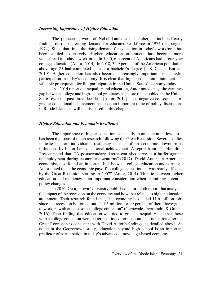#### *Increasing Importance of Higher Education*

 The pioneering work of Nobel Laureate Jan Tinbergen included early findings on the increasing demand for educated workforce in 1974 (Tinbergen, 1974). Since that time, the rising demand for education in today's workforce has been studied extensively. Higher education attainment has become more widespread in today's workforce. In 1940, 6 percent of Americans had a four-year college education (Autor, 2014). In 2018, 34.9 percent of the American population above age 25 had completed at least a bachelor's degree (U.S. Census Bureau, 2019). Higher education has also become increasingly important to successful participation in today's economy. It is clear that higher education attainment is a valuable prerequisite for full participation in the United States' economy today.

In a 2014 report on inequality and education, Autor noted that, "the earnings gap between college and high school graduates has more than doubled in the United States over the past three decades" (Autor, 2014). This negative consequence of greater educational achievement has been an important topic of policy discussions in Rhode Island, as will be discussed in this chapter.

#### *Higher Education and Economic Resiliency*

 The importance of higher education, especially in an economic downturn, has been the focus of much research following the Great Recession. Several studies indicate that an individual's resiliency in face of an economic downturn is influenced by his or her educational achievement. A report from The Hamilton Project noted that, "A postsecondary degree can also serve as a buffer against unemployment during economic downturns" (2017). David Autor, an American economist, also found an important link between college education and earnings. Autor noted that "the economic payoff to college education … was barely affected by the Great Recession starting in 2007" (Autor, 2014). This tie between higher education and resiliency is an important consideration when examining potential policy changes.

 In 2016, Georgetown University published an in-depth report that analyzed the impact of the recession on the economy and how that related to higher education attainment. Their research found that, "the economy has added 11.6 million jobs since the recession bottomed out  $-11.5$  million, or 99 percent of them, have gone to workers with at least some college education" (Carnevale, Jayasundra & Gulish, 2016). Their finding that education was tied to greater inequality and that those with a college education were better positioned for economic participation after the Great Recession is consistent with David Autor's findings, as detailed above. As noted in the Georgetown study, education beyond high school is an important predictor of participation in today's advanced, knowledge-based economy.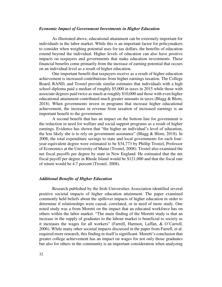#### *Economic Impact of Government Investments in Higher Education*

 As illustrated above, educational attainment can be extremely important for individuals in the labor market. While this is an important factor for policymakers to consider when weighing potential uses for tax dollars, the benefits of education extend beyond the individual. Higher levels of education can also have positive impacts on taxpayers and governments that make education investments. These financial benefits come primarily from the increase of earning potential that occurs on an individual level as a result of higher education.

 One important benefit that taxpayers receive as a result of higher education achievement is increased contributions from higher earnings taxation. The College Board, RAND, and Trostel provide similar estimates that individuals with a high school diploma paid a median of roughly \$5,000 in taxes in 2015 while those with associate degrees paid twice as much at roughly \$10,000 and those with even higher educational attainment contributed much greater amounts in taxes (Blagg & Blom, 2018). When governments invest in programs that increase higher educational achievement, the increase in revenue from taxation of increased earnings is an important benefit to the government.

 A second benefit that has an impact on the bottom line for government is the reduction in need for welfare and social support programs as a result of higher earnings. Evidence has shown that "the higher an individual's level of education, the less likely she is to rely on government assistance" (Blagg & Blom, 2018). In 2008, the total expenditure savings to state and local governments for each fouryear-equivalent degree were estimated to be \$34,773 by Phillip Trostel, Professor of Economics at the University of Maine (Trostel, 2008). Trostel also examined the net fiscal payoffs per degree by state in New England. He estimated that the net fiscal payoff per degree in Rhode Island would be \$121,000 and that the fiscal rate of return would be 4.7 percent (Trostel, 2008).

#### *Additional Benefits of Higher Education*

 Research published by the Irish Universities Association identified several positive societal impacts of higher education attainment. The paper examined commonly held beliefs about the spillover impacts of higher education in order to determine if relationships were causal, correlated, or in need of more study. One noted study was a from Moretti on the impact that an educated workforce has on others within the labor market. "The main finding of the Moretti study is that an increase in the supply of graduates to the labour market is beneficial to society as it increases the wages for all workers" (Farrell, Harmon, Laffan, & O'Carroll, 2006). While many other societal impacts discussed in the paper from Farrell, et al. required more research, this finding in itself is significant. Moretti's conclusion that greater college achievement has an impact on wages for not only those graduates but also for others in the community is an important consideration when analyzing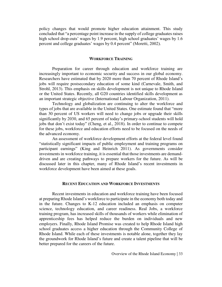policy changes that would promote higher education attainment. This study concluded that "a percentage point increase in the supply of college graduates raises high school drop-outs' wages by 1.9 percent, high school graduates' wages by 1.6 percent and college graduates' wages by 0.4 percent" (Moretti, 2002).

#### **WORKFORCE TRAINING**

 Preparation for career through education and workforce training are increasingly important to economic security and success in our global economy. Researchers have estimated that by 2020 more than 70 percent of Rhode Island's jobs will require postsecondary education of some kind (Carnevale, Smith, and Strohl, 2013). This emphasis on skills development is not unique to Rhode Island or the United States. Recently, all G20 countries identified skills development as an important strategic objective (International Labour Organization, 2011).

 Technology and globalization are continuing to alter the workforce and types of jobs that are available in the United States. One estimate found that "more than 30 percent of US workers will need to change jobs or upgrade their skills significantly by 2030, and 65 percent of today's primary-school students will hold jobs that don't exist today" (Cheng, et al., 2018). In order to continue to compete for these jobs, workforce and education efforts need to be focused on the needs of the advanced economy.

 An assessment of workforce development efforts at the federal level found "statistically significant impacts of public employment and training programs on participant earnings" (King and Heinrich 2011). As governments consider investments in workforce training, it is essential that those investments are demanddriven and are creating pathways to prepare workers for the future. As will be discussed later in this chapter, many of Rhode Island's recent investments in workforce development have been aimed at these goals.

#### **RECENT EDUCATION AND WORKFORCE INVESTMENTS**

 Recent investments in education and workforce training have been focused at preparing Rhode Island's workforce to participate in the economy both today and in the future. Changes to K-12 education included an emphasis on computer science, technology education, and career readiness. Real Jobs, a workforce training program, has increased skills of thousands of workers while elimination of apprenticeship fees has helped reduce the burden on individuals and new employers. Finally, Rhode Island Promise was created to help Rhode Island high school graduates access a higher education through the Community College of Rhode Island. While each of these investments is notable alone, together they lay the groundwork for Rhode Island's future and create a talent pipeline that will be better prepared for the careers of the future.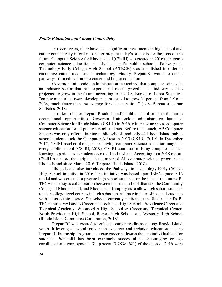#### *Public Education and Career Connectivity*

 In recent years, there have been significant investments in high school and career connectivity in order to better prepare today's students for the jobs of the future. Computer Science for Rhode Island (CS4RI) was created in 2016 to increase computer science education in Rhode Island's public schools. Pathways in Technology Early College High School (P-TECH) was established in order to encourage career readiness in technology. Finally, PrepareRI works to create pathways from education into career and higher education.

Governor Raimondo's administration recognized that computer science is an industry sector that has experienced recent growth. This industry is also projected to grow in the future; according to the U.S. Bureau of Labor Statistics, "employment of software developers is projected to grow 24 percent from 2016 to 2026, much faster than the average for all occupations" (U.S. Bureau of Labor Statistics, 2018).

In order to better prepare Rhode Island's public school students for future occupational opportunities, Governor Raimondo's administration launched Computer Science for Rhode Island (CS4RI) in 2016 to increase access to computer science education for all public school students. Before this launch, AP Computer Science was only offered in nine public schools and only 42 Rhode Island public school students took the Computer AP test in 2015 (CS4RI, 2019). In December 2017, CS4RI reached their goal of having computer science education taught in every public school (CS4RI, 2019). CS4RI continues to bring computer science learning experiences to students across Rhode Island. According to a 2018 report, CS4RI has more than tripled the number of AP computer science programs in Rhode Island since March 2016 (Prepare Rhode Island, 2018).

 Rhode Island also introduced the Pathways in Technology Early College High School initiative in 2016. The initiative was based upon IBM's grade 9-12 model and was created to prepare high school students for the jobs of the future. P-TECH encourages collaboration between the state, school districts, the Community College of Rhode Island, and Rhode Island employers to allow high school students to take college-level courses in high school, participate in internships, and graduate with an associate degree. Six schools currently participate in Rhode Island's P-TECH initiative: Davies Career and Technical High School, Providence Career and Technical Academy, Woonsocket High School & Career and Technical Center, North Providence High School, Rogers High School, and Westerly High School (Rhode Island Commerce Corporation, 2018).

 PrepareRI was created to enhance career readiness among Rhode Island youth. It leverages several tools, such as career and technical education and the PrepareRI Internship Program, to create career pathways that are individualized for students. PrepareRI has been extremely successful in encouraging college enrollment and employment. "81 percent (7,783/9,621) of the class of 2016 were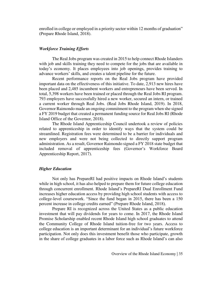enrolled in college or employed in a priority sector within 12 months of graduation" (Prepare Rhode Island, 2018).

#### *Workforce Training Efforts*

 The Real Jobs program was created in 2015 to help connect Rhode Islanders with job and skills training they need to compete for the jobs that are available in today's economy. It places employees into job openings, provides training to advance workers' skills, and creates a talent pipeline for the future.

 Recent performance reports on the Real Jobs program have provided important data on the effectiveness of this initiative. To date, 2,913 new hires have been placed and 2,485 incumbent workers and entrepreneurs have been served. In total, 5,398 workers have been trained or placed through the Real Jobs RI program. 793 employers have successfully hired a new worker, secured an intern, or trained a current worker through Real Jobs. (Real Jobs Rhode Island, 2019). In 2018, Governor Raimondo made an ongoing commitment to the program when she signed a FY 2019 budget that created a permanent funding source for Real Jobs RI (Rhode Island Office of the Governor, 2018).

 The Rhode Island Apprenticeship Council undertook a review of policies related to apprenticeship in order to identify ways that the system could be streamlined. Registration fees were determined to be a barrier for individuals and new employers and were not being collected to directly support program administration. As a result, Governor Raimondo signed a FY 2018 state budget that included removal of apprenticeship fees (Governor's Workforce Board Apprenticeship Report, 2017).

#### *Higher Education*

Not only has PrepareRI had positive impacts on Rhode Island's students while in high school, it has also helped to prepare them for future college education through concurrent enrollment. Rhode Island's PrepareRI Dual Enrollment Fund increases higher education access by providing high school students with access to college-level coursework. "Since the fund began in 2015, there has been a 150 percent increase in college credits earned" (Prepare Rhode Island, 2018).

 Prepare RI is recognized across the United States as a public education investment that will pay dividends for years to come. In 2017, the Rhode Island Promise Scholarship enabled recent Rhode Island high school graduates to attend the Community College of Rhode Island tuition-free for two years. Access to college education is an important determinant for an individual's future workforce participation. Not only does this investment benefit those who participate, growth in the share of college graduates in a labor force such as Rhode Island's can also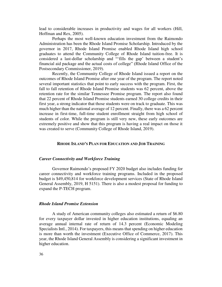lead to considerable increases in productivity and wages for all workers (Hill, Hoffman and Rex, 2005).

 Perhaps the most well-known education investment from the Raimondo Administration has been the Rhode Island Promise Scholarship. Introduced by the governor in 2017, Rhode Island Promise enabled Rhode Island high school graduates to attend the Community College of Rhode Island tuition-free. It is considered a last-dollar scholarship and "'fills the gap' between a student's financial aid package and the actual costs of college" (Rhode Island Office of the Postsecondary Commissioner, 2019).

 Recently, the Community College of Rhode Island issued a report on the outcomes of Rhode Island Promise after one year of the program. The report noted several important statistics that point to early success with the program. First, the fall to fall retention of Rhode Island Promise students was 62 percent, above the retention rate for the similar Tennessee Promise program. The report also found that 22 percent of Rhode Island Promise students earned 30 college credits in their first year, a strong indicator that those students were on track to graduate. This was much higher than the national average of 12 percent. Finally, there was a 62 percent increase in first-time, full-time student enrollment straight from high school of students of color. While the program is still very new, these early outcomes are extremely positive and show that this program is having a real impact on those it was created to serve (Community College of Rhode Island, 2019).

#### **RHODE ISLAND'S PLAN FOR EDUCATION AND JOB TRAINING**

#### *Career Connectivity and Workforce Training*

 Governor Raimondo's proposed FY 2020 budget also includes funding for career connectivity and workforce training programs. Included in the proposed budget is \$49,450,814 for workforce development services (State of Rhode Island General Assembly, 2019, H 5151). There is also a modest proposal for funding to expand the P-TECH program.

#### *Rhode Island Promise Extension*

 A study of American community colleges also estimated a return of \$6.80 for every taxpayer dollar invested in higher education institutions, equaling an average annual internal rate of return of 14.3 percent (Economic Modeling Specialists Intl., 2014). For taxpayers, this means that spending on higher education is more than worth the investment (Executive Office of Commerce, 2017). This year, the Rhode Island General Assembly is considering a significant investment in higher education.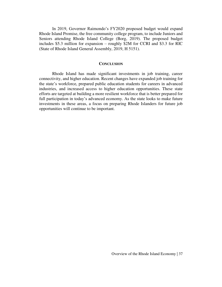In 2019, Governor Raimondo's FY2020 proposed budget would expand Rhode Island Promise, the free community college program, to include Juniors and Seniors attending Rhode Island College (Borg, 2019). The proposed budget includes \$5.3 million for expansion – roughly \$2M for CCRI and \$3.3 for RIC (State of Rhode Island General Assembly, 2019, H 5151).

#### **CONCLUSION**

 Rhode Island has made significant investments in job training, career connectivity, and higher education. Recent changes have expanded job training for the state's workforce, prepared public education students for careers in advanced industries, and increased access to higher education opportunities. These state efforts are targeted at building a more resilient workforce that is better prepared for full participation in today's advanced economy. As the state looks to make future investments in these areas, a focus on preparing Rhode Islanders for future job opportunities will continue to be important.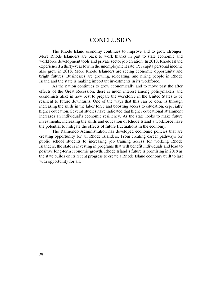### **CONCLUSION**

 The Rhode Island economy continues to improve and to grow stronger. More Rhode Islanders are back to work thanks in part to state economic and workforce development tools and private sector job creation. In 2018, Rhode Island experienced a thirty-year low in the unemployment rate. Per capita personal income also grew in 2018. More Rhode Islanders are seeing economic opportunity and bright futures. Businesses are growing, relocating, and hiring people in Rhode Island and the state is making important investments in its workforce.

As the nation continues to grow economically and to move past the after effects of the Great Recession, there is much interest among policymakers and economists alike in how best to prepare the workforce in the United States to be resilient to future downturns. One of the ways that this can be done is through increasing the skills in the labor force and boosting access to education, especially higher education. Several studies have indicated that higher educational attainment increases an individual's economic resiliency. As the state looks to make future investments, increasing the skills and education of Rhode Island's workforce have the potential to mitigate the effects of future fluctuations in the economy.

The Raimondo Administration has developed economic policies that are creating opportunity for all Rhode Islanders. From creating career pathways for public school students to increasing job training access for working Rhode Islanders, the state is investing in programs that will benefit individuals and lead to positive long-term economic growth. Rhode Island's future is promising in 2019 as the state builds on its recent progress to create a Rhode Island economy built to last with opportunity for all.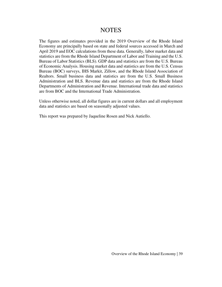## **NOTES**

The figures and estimates provided in the 2019 Overview of the Rhode Island Economy are principally based on state and federal sources accessed in March and April 2019 and EOC calculations from these data. Generally, labor market data and statistics are from the Rhode Island Department of Labor and Training and the U.S. Bureau of Labor Statistics (BLS). GDP data and statistics are from the U.S. Bureau of Economic Analysis. Housing market data and statistics are from the U.S. Census Bureau (BOC) surveys, IHS Markit, Zillow, and the Rhode Island Association of Realtors. Small business data and statistics are from the U.S. Small Business Administration and BLS. Revenue data and statistics are from the Rhode Island Departments of Administration and Revenue. International trade data and statistics are from BOC and the International Trade Administration.

Unless otherwise noted, all dollar figures are in current dollars and all employment data and statistics are based on seasonally adjusted values.

This report was prepared by Jaqueline Rosen and Nick Autiello.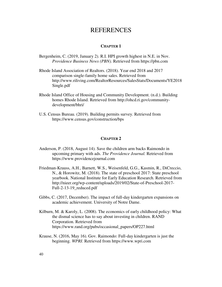### REFERENCES

#### **CHAPTER 1**

- Bergenheim, C. (2019, January 2). R.I. HPI growth highest in N.E. in Nov. *Providence Business News (PBN).* Retrieved from https://pbn.com
- Rhode Island Association of Realtors. (2018). Year end 2018 and 2017 comparison single-family home sales. Retrieved from http://www.riliving.com/RealtorResources/SalesStats/Documents/YE2018 Single.pdf
- Rhode Island Office of Housing and Community Development. (n.d.). Building homes Rhode Island. Retrieved from http://ohcd.ri.gov/communitydevelopment/bhri/
- U.S. Census Bureau. (2019). Building permits survey. Retrieved from https://www.census.gov/construction/bps

#### **CHAPTER 2**

- Anderson, P. (2018, August 14). Save the children arm backs Raimondo in upcoming primary with ads. *The Providence Journal.* Retrieved from https://www.providencejournal.com
- Friedman-Krauss, A.H., Barnett, W.S., Weisenfeld, G.G., Kasmin, R., DiCreccio, N., & Horowitz, M. (2018). The state of preschool 2017: State preschool yearbook. National Institute for Early Education Research. Retrieved from http://nieer.org/wp-content/uploads/2019/02/State-of-Preschool-2017- Full-2-13-19 reduced.pdf
- Gibbs, C. (2017, December). The impact of full-day kindergarten expansions on academic achievement. University of Notre Dame.
- Kilburn, M. & Karoly, L. (2008). The economics of early childhood policy: What the dismal science has to say about investing in children. RAND Corporation. Retrieved from https://www.rand.org/pubs/occasional\_papers/OP227.html
- Krause, N. (2016, May 16). Gov. Raimondo: Full-day kindergarten is just the beginning. *WPRI*. Retrieved from https://www.wpri.com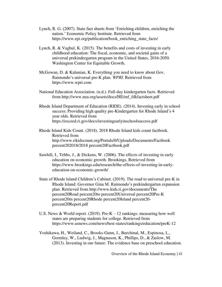- Lynch, R. G. (2007). State fact sheets from 'Enriching children, enriching the nation.' Economic Policy Institute. Retrieved from https://www.epi.org/publication/book\_enriching\_state\_facts/
- Lynch, R. & Vaghul, K. (2015). The benefits and costs of investing in early childhood education: The fiscal, economic, and societal gains of a universal prekindergarten program in the United States, 2016-2050. Washington Center for Equitable Growth.
- McGowan, D. & Kalunian, K. Everything you need to know about Gov. Raimondo's universal pre-K plan. *WPRI.* Retrieved from https://www.wpri.com
- National Education Association. (n.d.). Full-day kindergarten facts. Retrieved from http://www.nea.org/assets/docs/HE/mf\_fdkfactsheet.pdf
- Rhode Island Department of Education (RIDE). (2014). Investing early in school success: Providing high quality pre-Kindergarten for Rhode Island's 4 year olds. Retrieved from https://exceed.ri.gov/docs/investingearlyinschoolsuccess.pdf
- Rhode Island Kids Count. (2018). 2018 Rhode Island kids count factbook. Retrieved from http://www.rikidscount.org/Portals/0/Uploads/Documents/Factbook percent202018/2018 percent20Factbook.pdf
- Sawhill, I., Tebbs, J., & Dickens, W. (2006). The effects of investing in early education on economic growth. Brookings. Retrieved from https://www.brookings.edu/research/the-effects-of-investing-in-earlyeducation-on-economic-growth/
- State of Rhode Island Children's Cabinet. (2019). The road to universal pre-K in Rhode Island: Governor Gina M. Raimondo's prekindergarten expansion plan. Retrieved from http://www.kids.ri.gov/documents/The percent20Road percent20to percent20Universal percent20Pre-K percent20in percent20Rhode percent20Island percent20 percent20Report.pdf
- U.S. News & World report. (2019). Pre- $K 12$  rankings: measuring how well states are preparing students for college. Retrieved from https://www.usnews.com/news/best-states/rankings/education/preK-12
- Yoshikawa, H., Weiland, C., Brooks-Gunn, J., Burchinal, M., Espinosa, L., Gormley, W., Ludwig, J., Magnuson, K., Phillips, D., & Zaslow, M. (2013). Investing in our future: The evidence base on preschool education.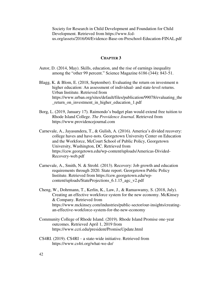Society for Research in Child Development and Foundation for Child Development. Retrieved from https://www.fcdus.org/assets/2016/04/Evidence-Base-on-Preschool-Education-FINAL.pdf

#### **CHAPTER 3**

- Autor, D. (2014, May). Skills, education, and the rise of earnings inequality among the "other 99 percent." Science Magazine 6186 (344): 843-51.
- Blagg, K. & Blom, E. (2018, September). Evaluating the return on investment n higher education: An assessment of individual- and state-level returns. Urban Institute. Retrieved from https://www.urban.org/sites/default/files/publication/99078/evaluating\_the \_return\_on\_investment\_in\_higher\_education\_1.pdf
- Borg, L. (2019, January 17). Raimondo's budget plan would extend free tuition to Rhode Island College. *The Providence Journal.* Retrieved from https://www.providencejournal.com
- Carnevale, A., Jayasundera, T., & Gulish, A. (2016). America's divided recovery: college haves and have-nots. Georgetown University Center on Education and the Workforce, McCourt School of Public Policy, Georgetown University, Washington, DC. Retrieved from https://cew.georgetown.edu/wp-content/uploads/Americas-Divided-Recovery-web.pdf
- Carnevale, A., Smith, N. & Strohl. (2013). Recovery: Job growth and education requirements through 2020. State report. Georgetown Public Policy Institute. Retrieved from https://cew.georgetown.edu/wpcontent/uploads/StateProjections\_6.1.15\_agc\_v2.pdf
- Cheng, W., Dohrmann, T., Kerlin, K., Law, J., & Ramaswamy, S. (2018, July). Creating an effective workforce system for the new economy. McKinsey & Company. Retrieved from https://www.mckinsey.com/industries/public-sector/our-insights/creatingan-effective-workforce-system-for-the-new-economy
- Community College of Rhode Island. (2019). Rhode Island Promise one-year outcomes. Retrieved April 1, 2019 from https://www.ccri.edu/president/PromiseUpdate.html
- CS4RI. (2019). CS4RI a state-wide initiative. Retrieved from https://www.cs4ri.org/what-we-do/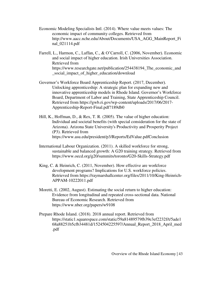- Economic Modeling Specialists Intl. (2014). Where value meets values: The economic impact of community colleges. Retrieved from http://www.aacc.nche.edu/About/Documents/USA\_AGG\_MainReport\_Fi nal\_021114.pdf
- Farrell, L., Harmon, C., Laffan, C., & O'Carroll, C. (2006, November). Economic and social impact of higher education. Irish Universities Association. Retrieved from https://www.researchgate.net/publication/254438194\_The\_economic\_and \_social\_impact\_of\_higher\_education/download
- Governor's Workforce Board Apprenticeship Report. (2017, December). Unlocking apprenticeship: A strategic plan for expanding new and innovative apprenticeship models in Rhode Island. Governor's Workforce Board, Department of Labor and Training, State Apprenticeship Council. Retrieved from https://gwb.ri.gov/wp-content/uploads/2017/06/2017- Apprenticeship-Report-Final.pdf?189db0
- Hill, K., Hoffman, D., & Rex, T. R. (2005). The value of higher education: Individual and societal benefits (with special consideration for the state of Arizona). Arizona State University's Productivity and Prosperity Project (P3). Retrieved from https://www.asu.edu/president/p3/Reports/EdValue.pdfConclusion
- International Labour Organization. (2011). A skilled workforce for strong, sustainable and balanced growth: A G20 training strategy. Retrieved from https://www.oecd.org/g20/summits/toronto/G20-Skills-Strategy.pdf
- King, C. & Heinrich, C. (2011, November). How effective are workforce development programs? Implications for U.S. workforce policies. Retrieved from https://raymarshallcenter.org/files/2011/10/King-Heinrich-APPAM-10222011.pdf
- Moretti, E. (2002, August). Estimating the social return to higher education: Evidence from longitudinal and repeated cross-sectional data. National Bureau of Economic Research. Retrieved from https://www.nber.org/papers/w9108
- Prepare Rhode Island. (2018). 2018 annual report. Retrieved from https://static1.squarespace.com/static/59a81489579fb39e3ef2232f/t/5ade1 68a88251b5cfb34481d/1524504225597/Annual\_Report\_2018\_April\_med .pdf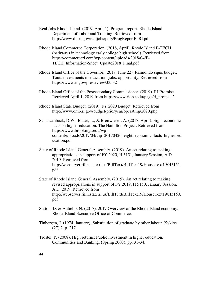- Real Jobs Rhode Island. (2019, April 1). Program report. Rhode Island Department of Labor and Training. Retrieved from http://www.dlt.ri.gov/realjobs/pdfs/ProgReportRJRI.pdf
- Rhode Island Commerce Corporation. (2018, April). Rhode Island P-TECH (pathways in technology early college high school). Retrieved from https://commerceri.com/wp-content/uploads/2018/04/P-TECH\_Information-Sheet\_Update2018\_Final.pdf
- Rhode Island Office of the Governor. (2018, June 22). Raimondo signs budget: Touts investments in education, jobs, opportunity. Retrieved from https://www.ri.gov/press/view/33532
- Rhode Island Office of the Postsecondary Commissioner. (2019). RI Promise. Retrieved April 1, 2019 from https://www.riopc.edu/page/ri\_promise/
- Rhode Island State Budget. (2019). FY 2020 Budget. Retrieved from http://www.omb.ri.gov/budget/prioryear/operating/2020.php
- Schanzenback, D.W., Bauer, L., & Breitwieser, A. (2017, April). Eight economic facts on higher education. The Hamilton Project. Retrieved from https://www.brookings.edu/wpcontent/uploads/2017/04/thp\_20170426\_eight\_economic\_facts\_higher\_ed ucation.pdf
- State of Rhode Island General Assembly. (2019). An act relating to making appropriations in support of FY 2020, H 5151, January Session, A.D. 2019. Retrieved from http://webserver.rilin.state.ri.us/BillText/BillText19/HouseText19/H5151. pdf
- State of Rhode Island General Assembly. (2019). An act relating to making revised appropriations in support of FY 2019, H 5150, January Session, A.D. 2019. Retrieved from http://webserver.rilin.state.ri.us/BillText/BillText19/HouseText19/H5150. pdf
- Sutton, D. & Autiello, N. (2017). 2017 Overview of the Rhode Island economy. Rhode Island Executive Office of Commerce.
- Tinbergen, J. (1974, January). Substitution of graduate by other labour. Kyklos. (27) 2. p. 217.
- Trostel, P. (2008). High returns: Public investment in higher education. Communities and Banking. (Spring 2008). pp. 31-34.